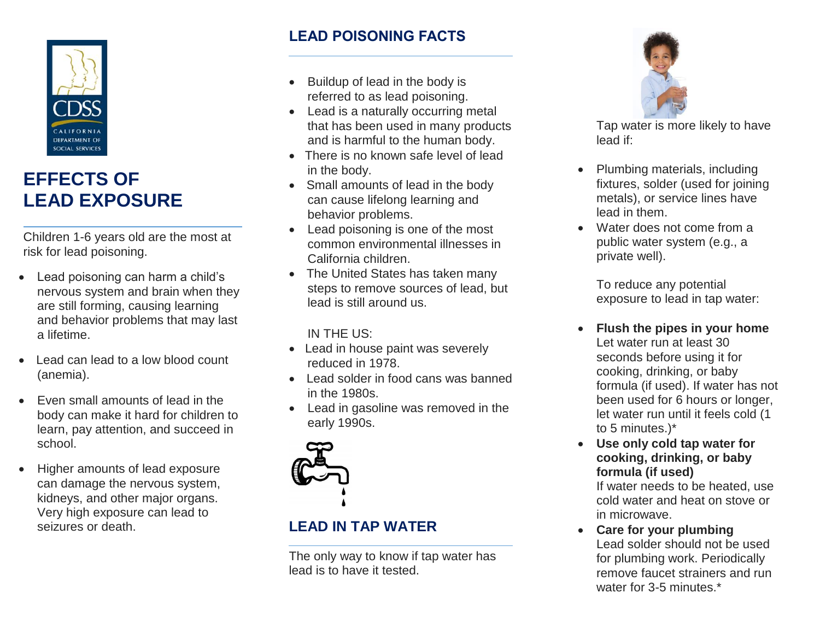

# **EFFECTS OF LEAD EXPOSURE**

Children 1-6 years old are the most at risk for lead poisoning.

- Lead poisoning can harm a child's nervous system and brain when they are still forming, causing learning and behavior problems that may last a lifetime.
- Lead can lead to a low blood count (anemia).
- Even small amounts of lead in the body can make it hard for children to learn, pay attention, and succeed in school.
- Higher amounts of lead exposure can damage the nervous system, kidneys, and other major organs. Very high exposure can lead to seizures or death.

## **LEAD POISONING FACTS**

- Buildup of lead in the body is referred to as lead poisoning.
- Lead is a naturally occurring metal that has been used in many products and is harmful to the human body.
- There is no known safe level of lead in the body.
- Small amounts of lead in the body can cause lifelong learning and behavior problems.
- Lead poisoning is one of the most common environmental illnesses in California children.
- The United States has taken many steps to remove sources of lead, but lead is still around us.

#### IN THE US:

- Lead in house paint was severely reduced in 1978.
- Lead solder in food cans was banned in the 1980s.
- Lead in gasoline was removed in the early 1990s.



## **LEAD IN TAP WATER**

The only way to know if tap water has lead is to have it tested.



Tap water is more likely to have lead if:

- Plumbing materials, including fixtures, solder (used for joining metals), or service lines have lead in them.
- Water does not come from a public water system (e.g., a private well).

To reduce any potential exposure to lead in tap water:

- **Flush the pipes in your home**  Let water run at least 30 seconds before using it for cooking, drinking, or baby formula (if used). If water has not been used for 6 hours or longer, let water run until it feels cold (1 to 5 minutes.)\*
- **Use only cold tap water for cooking, drinking, or baby formula (if used)**

If water needs to be heated, use cold water and heat on stove or in microwave.

• **Care for your plumbing**  Lead solder should not be used for plumbing work. Periodically remove faucet strainers and run water for 3-5 minutes.\*